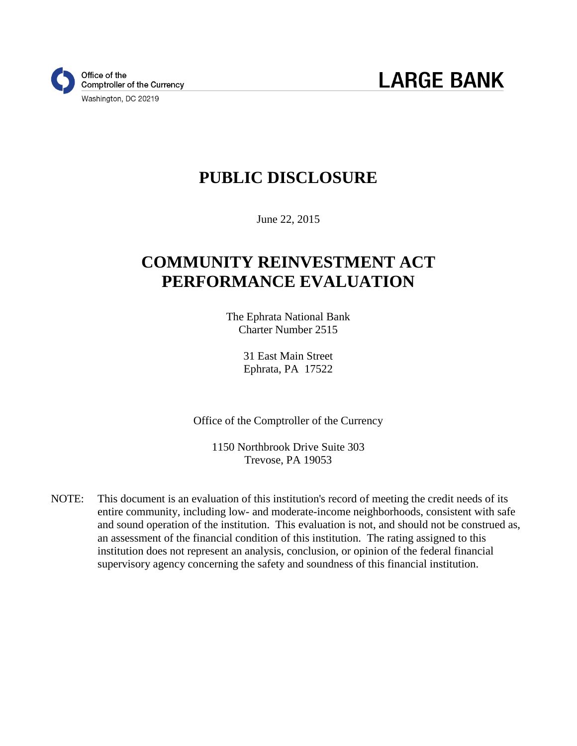

### **PUBLIC DISCLOSURE**

June 22, 2015

# **COMMUNITY REINVESTMENT ACT PERFORMANCE EVALUATION**

The Ephrata National Bank Charter Number 2515

> 31 East Main Street Ephrata, PA 17522

Office of the Comptroller of the Currency

1150 Northbrook Drive Suite 303 Trevose, PA 19053

NOTE: This document is an evaluation of this institution's record of meeting the credit needs of its entire community, including low- and moderate-income neighborhoods, consistent with safe and sound operation of the institution. This evaluation is not, and should not be construed as, an assessment of the financial condition of this institution. The rating assigned to this institution does not represent an analysis, conclusion, or opinion of the federal financial supervisory agency concerning the safety and soundness of this financial institution.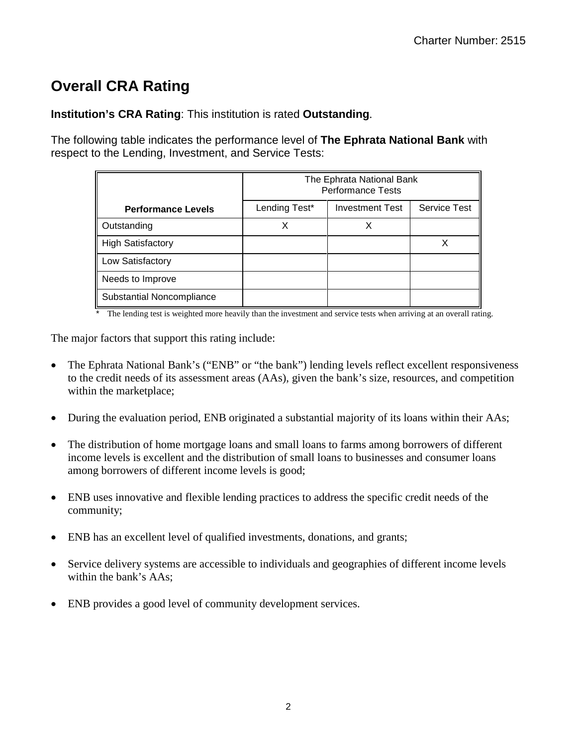## **Overall CRA Rating**

**Institution's CRA Rating**: This institution is rated **Outstanding**.

The following table indicates the performance level of **The Ephrata National Bank** with respect to the Lending, Investment, and Service Tests:

|                           | The Ephrata National Bank<br><b>Performance Tests</b> |                        |                     |
|---------------------------|-------------------------------------------------------|------------------------|---------------------|
| <b>Performance Levels</b> | Lending Test*                                         | <b>Investment Test</b> | <b>Service Test</b> |
| Outstanding               | Χ                                                     |                        |                     |
| <b>High Satisfactory</b>  |                                                       |                        | х                   |
| Low Satisfactory          |                                                       |                        |                     |
| Needs to Improve          |                                                       |                        |                     |
| Substantial Noncompliance |                                                       |                        |                     |

The lending test is weighted more heavily than the investment and service tests when arriving at an overall rating.

The major factors that support this rating include:

- The Ephrata National Bank's ("ENB" or "the bank") lending levels reflect excellent responsiveness to the credit needs of its assessment areas (AAs), given the bank's size, resources, and competition within the marketplace;
- During the evaluation period, ENB originated a substantial majority of its loans within their AAs;
- The distribution of home mortgage loans and small loans to farms among borrowers of different income levels is excellent and the distribution of small loans to businesses and consumer loans among borrowers of different income levels is good;
- ENB uses innovative and flexible lending practices to address the specific credit needs of the community;
- ENB has an excellent level of qualified investments, donations, and grants;
- Service delivery systems are accessible to individuals and geographies of different income levels within the bank's AAs;
- ENB provides a good level of community development services.